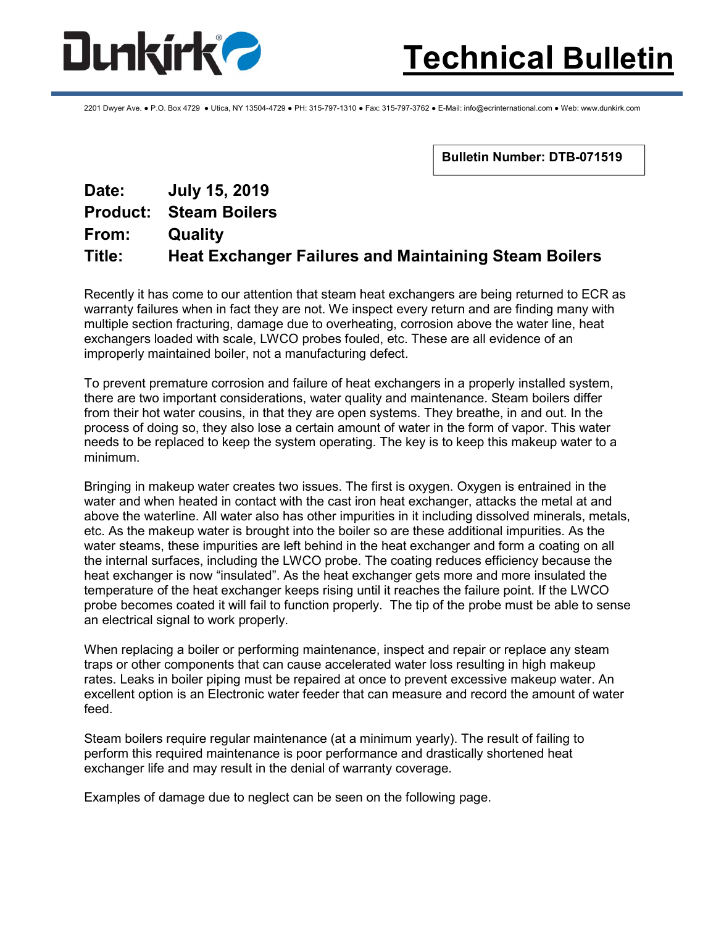

2201 Dwyer Ave. ● P.O. Box 4729 ● Utica, NY 13504-4729 ● PH: 315-797-1310 ● Fax: 315-797-3762 ● E-Mail: info@ecrinternational.com ● Web: www.dunkirk.com

Bulletin Number: DTB-071519

## Date: July 15, 2019 Product: Steam Boilers From: Quality Title: Heat Exchanger Failures and Maintaining Steam Boilers

Recently it has come to our attention that steam heat exchangers are being returned to ECR as warranty failures when in fact they are not. We inspect every return and are finding many with multiple section fracturing, damage due to overheating, corrosion above the water line, heat exchangers loaded with scale, LWCO probes fouled, etc. These are all evidence of an improperly maintained boiler, not a manufacturing defect.

To prevent premature corrosion and failure of heat exchangers in a properly installed system, there are two important considerations, water quality and maintenance. Steam boilers differ from their hot water cousins, in that they are open systems. They breathe, in and out. In the process of doing so, they also lose a certain amount of water in the form of vapor. This water needs to be replaced to keep the system operating. The key is to keep this makeup water to a minimum.

Bringing in makeup water creates two issues. The first is oxygen. Oxygen is entrained in the water and when heated in contact with the cast iron heat exchanger, attacks the metal at and above the waterline. All water also has other impurities in it including dissolved minerals, metals, etc. As the makeup water is brought into the boiler so are these additional impurities. As the water steams, these impurities are left behind in the heat exchanger and form a coating on all the internal surfaces, including the LWCO probe. The coating reduces efficiency because the heat exchanger is now "insulated". As the heat exchanger gets more and more insulated the temperature of the heat exchanger keeps rising until it reaches the failure point. If the LWCO probe becomes coated it will fail to function properly. The tip of the probe must be able to sense an electrical signal to work properly.

When replacing a boiler or performing maintenance, inspect and repair or replace any steam traps or other components that can cause accelerated water loss resulting in high makeup rates. Leaks in boiler piping must be repaired at once to prevent excessive makeup water. An excellent option is an Electronic water feeder that can measure and record the amount of water feed.

Steam boilers require regular maintenance (at a minimum yearly). The result of failing to perform this required maintenance is poor performance and drastically shortened heat exchanger life and may result in the denial of warranty coverage.

Examples of damage due to neglect can be seen on the following page.